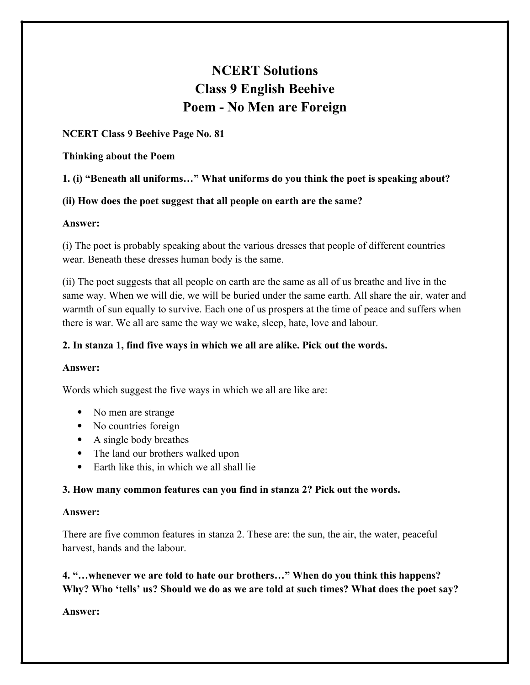# **NCERT Solutions Class 9 English Beehive Poem - No Men are Foreign**

### **NCERT Class 9 Beehive Page No. 81**

#### **Thinking about the Poem**

## **1. (i) "Beneath all uniforms…" What uniforms do you think the poet is speaking about?**

#### **(ii) How does the poet suggest that all people on earth are the same?**

#### **Answer:**

(i) The poet is probably speaking about the various dresses that people of different countries wear. Beneath these dresses human body is the same.

(ii) The poet suggests that all people on earth are the same as all of us breathe and live in the same way. When we will die, we will be buried under the same earth. All share the air, water and warmth of sun equally to survive. Each one of us prospers at the time of peace and suffers when there is war. We all are same the way we wake, sleep, hate, love and labour.

### **2. In stanza 1, find five ways in which we all are alike. Pick out the words.**

#### **Answer:**

Words which suggest the five ways in which we all are like are:

- No men are strange
- No countries foreign
- A single body breathes
- The land our brothers walked upon
- Earth like this, in which we all shall lie

#### **3. How many common features can you find in stanza 2? Pick out the words.**

#### **Answer:**

There are five common features in stanza 2. These are: the sun, the air, the water, peaceful harvest, hands and the labour.

## **4. "…whenever we are told to hate our brothers…" When do you think this happens? Why? Who 'tells' us? Should we do as we are told at such times? What does the poet say?**

**Answer:**